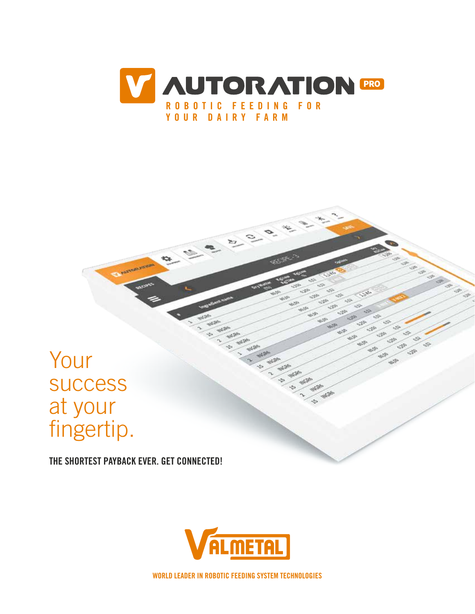

 $22$ 

53

# Your success at your fingertip.

THE SHORTEST PAYBACK EVER. GET CONNECTED!



WORLD LEADER IN ROBOTIC FEEDING SYSTEM TECHNOLOGIES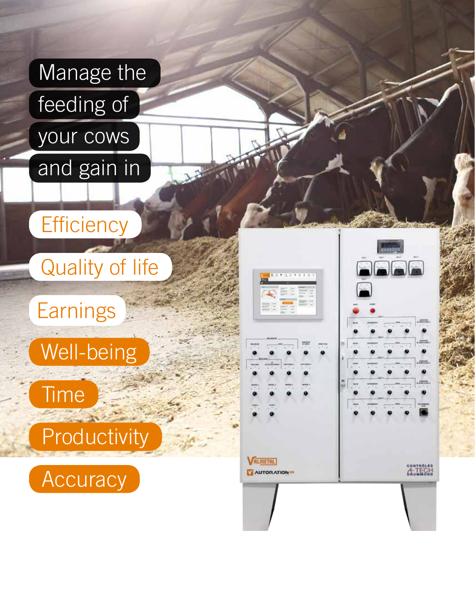

# **Efficiency**

Quality of life

**Earnings** 



**Time** 

**Productivity** 



| 東京東京名きます方法                          | $\blacksquare$ $\blacksquare$<br>$\frac{1}{2}$ |
|-------------------------------------|------------------------------------------------|
|                                     | <b>BENDER</b>                                  |
| <b>ALMETAL</b><br><b>AUTORATION</b> | <b>CONTROLES</b><br>ECH<br>БÀ                  |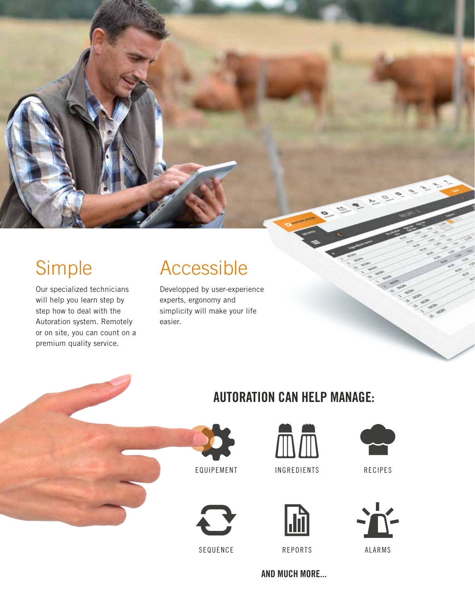## Simple

Our specialized technicians will help you learn step by step how to deal with the Autoration system. Remotely or on site, you can count on a premium quality service.

### Accessible

Developped by user-experience experts, ergonomy and simplicity will make your life easier.



AUTORATION CAN HELP MANAGE:

INGREDIENTS RECIPES



EQUIPEMENT

SEQUENCE





AND MUCH MORE...





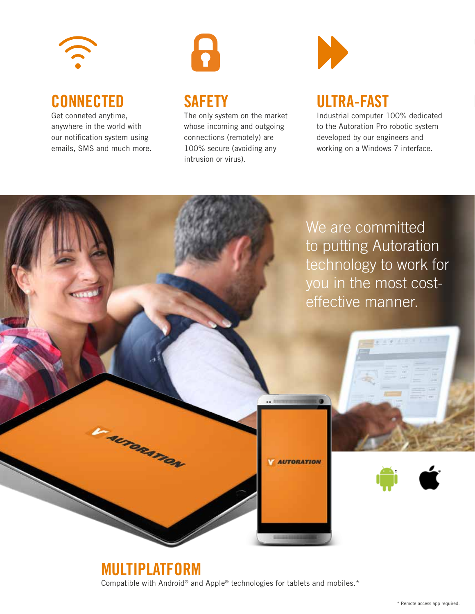

#### **CONNECTED**

Get conneted anytime, anywhere in the world with our notification system using emails, SMS and much more.



#### **SAFETY**

The only system on the market whose incoming and outgoing connections (remotely) are 100% secure (avoiding any intrusion or virus).



#### ULTRA-FAST

Industrial computer 100% dedicated to the Autoration Pro robotic system developed by our engineers and working on a Windows 7 interface.



MULTIPLATFORM Compatible with Android® and Apple® technologies for tablets and mobiles.\*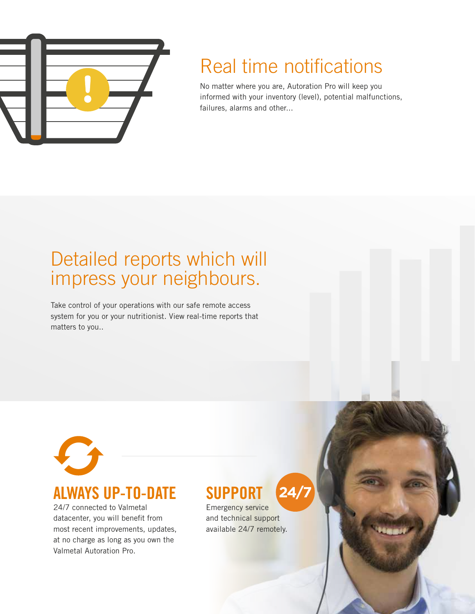

## Real time notifications

No matter where you are, Autoration Pro will keep you informed with your inventory (level), potential malfunctions, failures, alarms and other...

### Detailed reports which will impress your neighbours.

Take control of your operations with our safe remote access system for you or your nutritionist. View real-time reports that matters to you..



#### ALWAYS UP-TO-DATE

24/7 connected to Valmetal datacenter, you will benefit from most recent improvements, updates, at no charge as long as you own the Valmetal Autoration Pro.

#### **SUPPORT 24**

Emergency service and technical support available 24/7 remotely.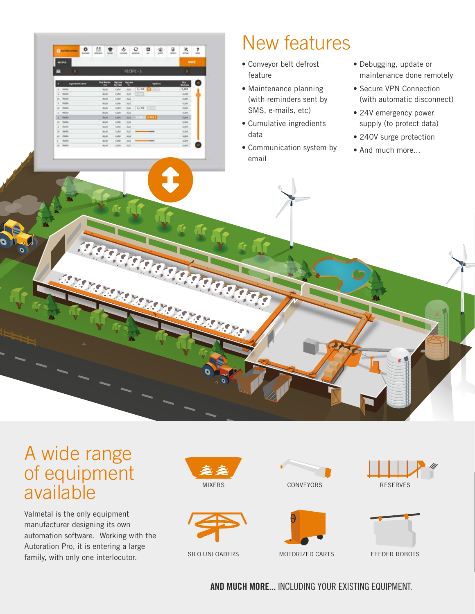|                                | <b>C MATTRIAN</b>       |                        | ۰<br><b>EGIPTIER</b> | ่<br><b>MARINER</b> | acuted.           | 办<br><b>ISLAND</b> |                    | ٥<br><b>ALCOHOL</b> | ۰<br>mi          | 奎<br>and in     | 菌<br><b>MAY</b> | ⋇<br>smaa       | ş,<br><b>Side of</b> |
|--------------------------------|-------------------------|------------------------|----------------------|---------------------|-------------------|--------------------|--------------------|---------------------|------------------|-----------------|-----------------|-----------------|----------------------|
|                                | <b>REGIMLE</b>          |                        |                      |                     |                   |                    |                    |                     |                  |                 |                 | SAIR            |                      |
| ∃                              |                         | ¢                      |                      |                     |                   |                    |                    | RECIPE + 3          |                  |                 |                 | ×               |                      |
|                                |                         | <b>Ingredient name</b> |                      |                     | <b>Bry Walter</b> | 出版                 | <b>KEXIMA</b><br>٠ |                     |                  | <b>Carlians</b> |                 | ы.              |                      |
| ä                              | <b>Hilld</b>            |                        |                      |                     | <b>MUSE</b>       | <b>Kale</b>        | A34                | 1,181               | ena              |                 |                 | 1,300           |                      |
|                                | <b>FIGH</b>             |                        |                      |                     | 46,95             | 3,262              | <b>KALL</b>        |                     |                  |                 |                 | it.link         |                      |
| и                              | <b>Folde</b>            |                        |                      |                     | 96.00             | KJM                | Kata               |                     |                  |                 |                 | <b>Can</b>      |                      |
| $-0.00000$                     | <b>Paline</b><br>market |                        |                      |                     | MUSE              | A.Mr.              | 4.Kd               |                     |                  |                 |                 | 1,310<br>$\sim$ |                      |
| $^{18}$                        | <b>HORA</b>             |                        |                      |                     | <b>BLM</b>        | 3,188              | Ud.                | $-1.198$ $-1$       |                  |                 |                 | 3,381<br>œ      |                      |
| u                              | C MAIDA                 |                        |                      |                     | 34,103            | 4,268              | 4.32               |                     |                  |                 |                 | K.ate           |                      |
| ×                              | <b>TEEM</b>             |                        |                      |                     | <b>WUM</b>        | Kitt               | <b>KIG</b>         | ×                   | <b>THE VALUE</b> |                 |                 | <b>Auto</b>     |                      |
| $^{14}$<br>-                   | <b>INGLA</b>            |                        |                      |                     | <b>BOAT</b>       | 1,168              | <b>AAL</b>         |                     |                  |                 |                 | 3,350<br>--     |                      |
| $\overline{a}$<br><b>STATE</b> | suns.                   |                        |                      |                     | 86,95             | KJAK               | Kini               |                     |                  |                 |                 | ARK             |                      |
| 198                            | <b>Paint</b>            |                        |                      |                     | 累度                | AJAH               | KA1                |                     |                  |                 |                 | 3,210           |                      |
| $\overline{a}$                 | <b>FEEDS</b>            |                        |                      | $-46.86$            |                   | 1,252              | 434                |                     |                  |                 |                 | 6,04            |                      |
| <b>B</b>                       | <b>FIGHT</b>            |                        |                      |                     | <b>PLID</b>       | 1,769              | 1,62               |                     |                  |                 |                 | ir (mm)         |                      |
| is                             | rents.                  |                        |                      | <b>MUNI</b>         |                   | <b>SJAP</b>        | 'Alan              |                     |                  |                 |                 | 1,213           |                      |

## New features

- Conveyor belt defrost feature
- Maintenance planning (with reminders sent by SMS, e-mails, etc)
- Cumulative ingredients data
- Communication system by email
- Debugging, update or maintenance done remotely
- Secure VPN Connection (with automatic disconnect)
- 24V emergency power supply (to protect data)
- 240V surge protection
- And much more...

### A wide range of equipment available

Valmetal is the only equipment manufacturer designing its own automation software. Working with the Autoration Pro, it is entering a large family, with only one interlocutor.









SILO UNLOADERS





FEEDER ROBOTS

AND MUCH MORE... INCLUDING YOUR EXISTING EQUIPMENT.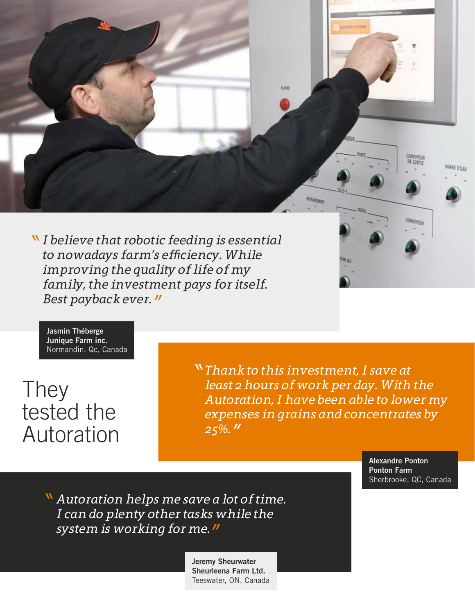

*I believe that robotic feeding is essential to nowadays farm's efficiency. While improving the quality of life of my family, the investment pays for itself. Best payback ever.*

Jasmin Théberge Junique Farm inc. Normandin, Qc, Canada

They tested the Autoration *Thank to this investment, I save at least 2 hours of work per day. With the Autoration, I have been able to lower my expenses in grains and concentrates by 25%.*

> Alexandre Ponton Ponton Farm Sherbrooke, QC, Canada

*Autoration helps me save a lot of time. I can do plenty other tasks while the system is working for me.*

> Jeremy Sheurwater Sheurleena Farm Ltd. Teeswater, ON, Canada